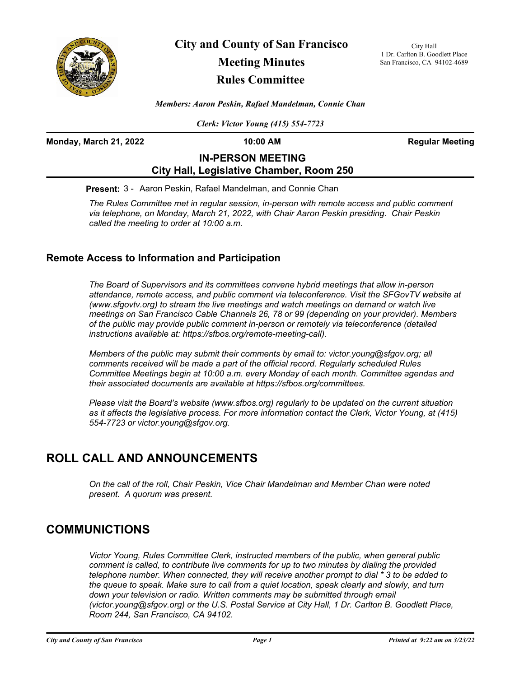

**City and County of San Francisco Meeting Minutes Rules Committee**

City Hall 1 Dr. Carlton B. Goodlett Place San Francisco, CA 94102-4689

*Members: Aaron Peskin, Rafael Mandelman, Connie Chan*

*Clerk: Victor Young (415) 554-7723*

**Monday, March 21, 2022 10:00 AM Regular Meeting**

# **IN-PERSON MEETING City Hall, Legislative Chamber, Room 250**

**Present:** 3 - Aaron Peskin, Rafael Mandelman, and Connie Chan

*The Rules Committee met in regular session, in-person with remote access and public comment via telephone, on Monday, March 21, 2022, with Chair Aaron Peskin presiding. Chair Peskin called the meeting to order at 10:00 a.m.*

### **Remote Access to Information and Participation**

*The Board of Supervisors and its committees convene hybrid meetings that allow in-person attendance, remote access, and public comment via teleconference. Visit the SFGovTV website at (www.sfgovtv.org) to stream the live meetings and watch meetings on demand or watch live meetings on San Francisco Cable Channels 26, 78 or 99 (depending on your provider). Members of the public may provide public comment in-person or remotely via teleconference (detailed instructions available at: https://sfbos.org/remote-meeting-call).* 

*Members of the public may submit their comments by email to: victor.young@sfgov.org; all comments received will be made a part of the official record. Regularly scheduled Rules Committee Meetings begin at 10:00 a.m. every Monday of each month. Committee agendas and their associated documents are available at https://sfbos.org/committees.*

*Please visit the Board's website (www.sfbos.org) regularly to be updated on the current situation as it affects the legislative process. For more information contact the Clerk, Victor Young, at (415) 554-7723 or victor.young@sfgov.org.*

# **ROLL CALL AND ANNOUNCEMENTS**

*On the call of the roll, Chair Peskin, Vice Chair Mandelman and Member Chan were noted present. A quorum was present.*

### **COMMUNICTIONS**

*Victor Young, Rules Committee Clerk, instructed members of the public, when general public comment is called, to contribute live comments for up to two minutes by dialing the provided telephone number. When connected, they will receive another prompt to dial \* 3 to be added to the queue to speak. Make sure to call from a quiet location, speak clearly and slowly, and turn*  down your television or radio. Written comments may be submitted through email *(victor.young@sfgov.org) or the U.S. Postal Service at City Hall, 1 Dr. Carlton B. Goodlett Place, Room 244, San Francisco, CA 94102.*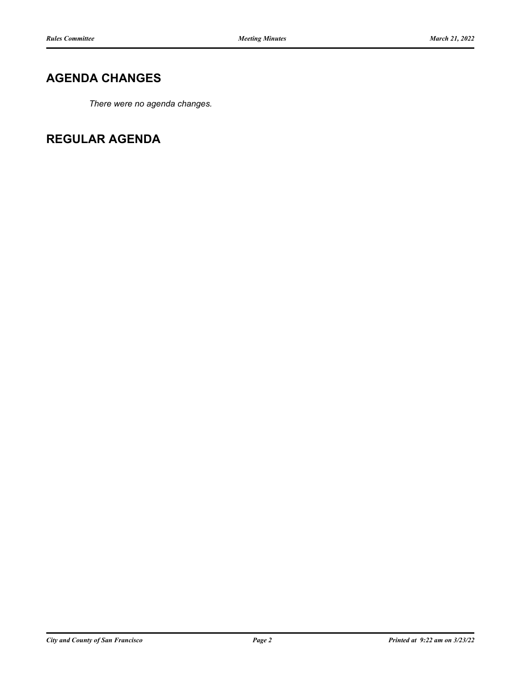# **AGENDA CHANGES**

*There were no agenda changes.*

**REGULAR AGENDA**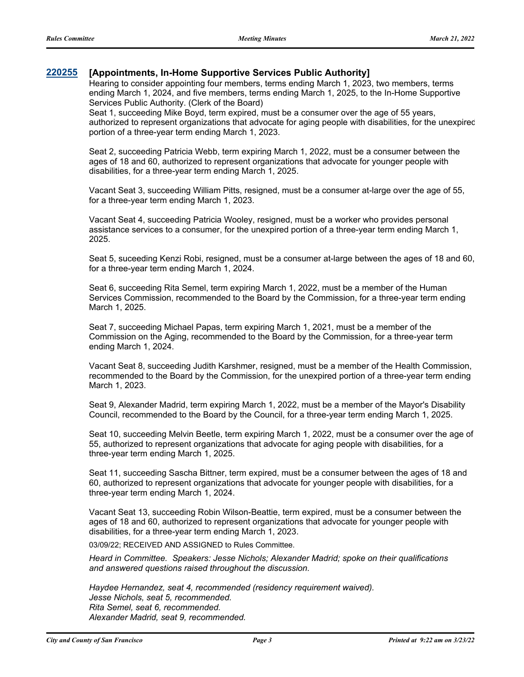#### **[220255](http://sfgov.legistar.com/gateway.aspx?m=l&id=38447) [Appointments, In-Home Supportive Services Public Authority]**

Hearing to consider appointing four members, terms ending March 1, 2023, two members, terms ending March 1, 2024, and five members, terms ending March 1, 2025, to the In-Home Supportive Services Public Authority. (Clerk of the Board)

Seat 1, succeeding Mike Boyd, term expired, must be a consumer over the age of 55 years, authorized to represent organizations that advocate for aging people with disabilities, for the unexpired portion of a three-year term ending March 1, 2023.

Seat 2, succeeding Patricia Webb, term expiring March 1, 2022, must be a consumer between the ages of 18 and 60, authorized to represent organizations that advocate for younger people with disabilities, for a three-year term ending March 1, 2025.

Vacant Seat 3, succeeding William Pitts, resigned, must be a consumer at-large over the age of 55, for a three-year term ending March 1, 2023.

Vacant Seat 4, succeeding Patricia Wooley, resigned, must be a worker who provides personal assistance services to a consumer, for the unexpired portion of a three-year term ending March 1, 2025.

Seat 5, suceeding Kenzi Robi, resigned, must be a consumer at-large between the ages of 18 and 60, for a three-year term ending March 1, 2024.

Seat 6, succeeding Rita Semel, term expiring March 1, 2022, must be a member of the Human Services Commission, recommended to the Board by the Commission, for a three-year term ending March 1, 2025.

Seat 7, succeeding Michael Papas, term expiring March 1, 2021, must be a member of the Commission on the Aging, recommended to the Board by the Commission, for a three-year term ending March 1, 2024.

Vacant Seat 8, succeeding Judith Karshmer, resigned, must be a member of the Health Commission, recommended to the Board by the Commission, for the unexpired portion of a three-year term ending March 1, 2023.

Seat 9, Alexander Madrid, term expiring March 1, 2022, must be a member of the Mayor's Disability Council, recommended to the Board by the Council, for a three-year term ending March 1, 2025.

Seat 10, succeeding Melvin Beetle, term expiring March 1, 2022, must be a consumer over the age of 55, authorized to represent organizations that advocate for aging people with disabilities, for a three-year term ending March 1, 2025.

Seat 11, succeeding Sascha Bittner, term expired, must be a consumer between the ages of 18 and 60, authorized to represent organizations that advocate for younger people with disabilities, for a three-year term ending March 1, 2024.

Vacant Seat 13, succeeding Robin Wilson-Beattie, term expired, must be a consumer between the ages of 18 and 60, authorized to represent organizations that advocate for younger people with disabilities, for a three-year term ending March 1, 2023.

03/09/22; RECEIVED AND ASSIGNED to Rules Committee.

*Heard in Committee. Speakers: Jesse Nichols; Alexander Madrid; spoke on their qualifications and answered questions raised throughout the discussion.*

*Haydee Hernandez, seat 4, recommended (residency requirement waived). Jesse Nichols, seat 5, recommended. Rita Semel, seat 6, recommended. Alexander Madrid, seat 9, recommended.*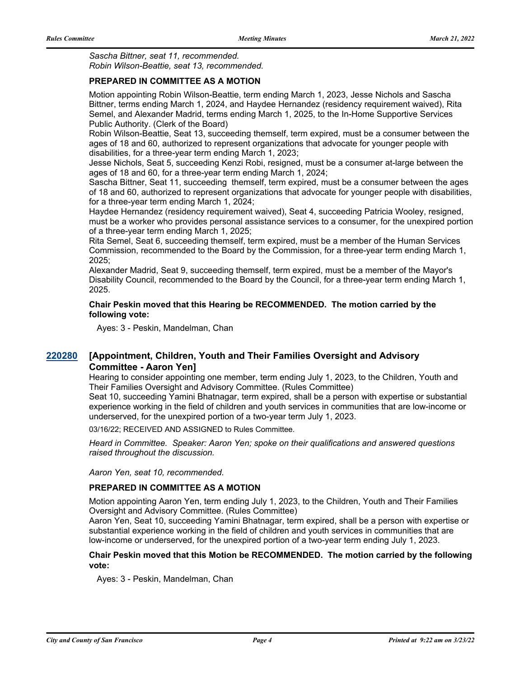*Sascha Bittner, seat 11, recommended. Robin Wilson-Beattie, seat 13, recommended.*

#### **PREPARED IN COMMITTEE AS A MOTION**

Motion appointing Robin Wilson-Beattie, term ending March 1, 2023, Jesse Nichols and Sascha Bittner, terms ending March 1, 2024, and Haydee Hernandez (residency requirement waived), Rita Semel, and Alexander Madrid, terms ending March 1, 2025, to the In-Home Supportive Services Public Authority. (Clerk of the Board)

Robin Wilson-Beattie, Seat 13, succeeding themself, term expired, must be a consumer between the ages of 18 and 60, authorized to represent organizations that advocate for younger people with disabilities, for a three-year term ending March 1, 2023;

Jesse Nichols, Seat 5, succeeding Kenzi Robi, resigned, must be a consumer at-large between the ages of 18 and 60, for a three-year term ending March 1, 2024;

Sascha Bittner, Seat 11, succeeding themself, term expired, must be a consumer between the ages of 18 and 60, authorized to represent organizations that advocate for younger people with disabilities, for a three-year term ending March 1, 2024;

Haydee Hernandez (residency requirement waived), Seat 4, succeeding Patricia Wooley, resigned, must be a worker who provides personal assistance services to a consumer, for the unexpired portion of a three-year term ending March 1, 2025;

Rita Semel, Seat 6, succeeding themself, term expired, must be a member of the Human Services Commission, recommended to the Board by the Commission, for a three-year term ending March 1, 2025;

Alexander Madrid, Seat 9, succeeding themself, term expired, must be a member of the Mayor's Disability Council, recommended to the Board by the Council, for a three-year term ending March 1, 2025.

#### **Chair Peskin moved that this Hearing be RECOMMENDED. The motion carried by the following vote:**

Ayes: 3 - Peskin, Mandelman, Chan

#### **[Appointment, Children, Youth and Their Families Oversight and Advisory Committee - Aaron Yen] [220280](http://sfgov.legistar.com/gateway.aspx?m=l&id=38472)**

Hearing to consider appointing one member, term ending July 1, 2023, to the Children, Youth and Their Families Oversight and Advisory Committee. (Rules Committee)

Seat 10, succeeding Yamini Bhatnagar, term expired, shall be a person with expertise or substantial experience working in the field of children and youth services in communities that are low-income or underserved, for the unexpired portion of a two-year term July 1, 2023.

03/16/22; RECEIVED AND ASSIGNED to Rules Committee.

*Heard in Committee. Speaker: Aaron Yen; spoke on their qualifications and answered questions raised throughout the discussion.*

*Aaron Yen, seat 10, recommended.*

#### **PREPARED IN COMMITTEE AS A MOTION**

Motion appointing Aaron Yen, term ending July 1, 2023, to the Children, Youth and Their Families Oversight and Advisory Committee. (Rules Committee)

Aaron Yen, Seat 10, succeeding Yamini Bhatnagar, term expired, shall be a person with expertise or substantial experience working in the field of children and youth services in communities that are low-income or underserved, for the unexpired portion of a two-year term ending July 1, 2023.

#### **Chair Peskin moved that this Motion be RECOMMENDED. The motion carried by the following vote:**

Ayes: 3 - Peskin, Mandelman, Chan